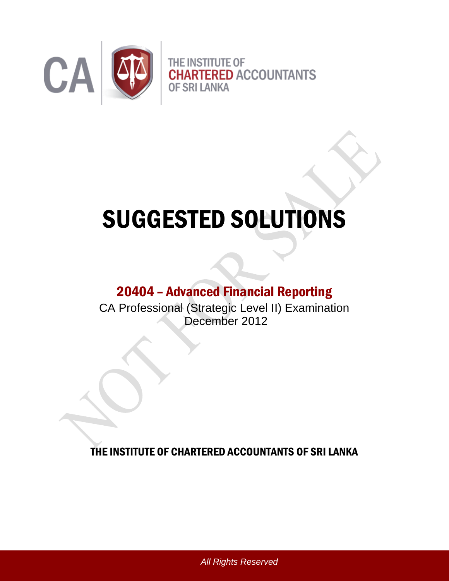

# SUGGESTED SOLUTIONS

# 20404 – Advanced Financial Reporting

CA Professional (Strategic Level II) Examination December 2012

THE INSTITUTE OF CHARTERED ACCOUNTANTS OF SRI LANKA

*All Rights Reserved*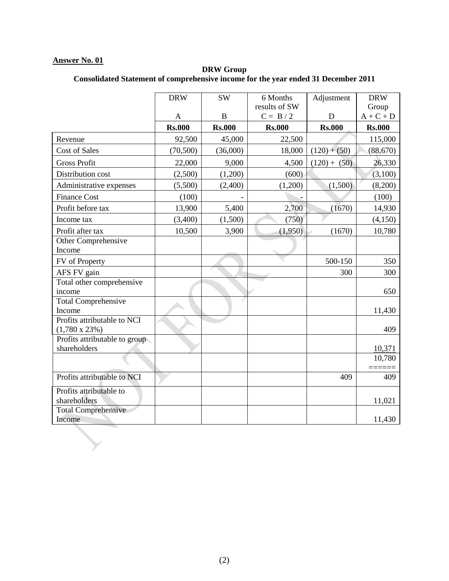#### **DRW Group Consolidated Statement of comprehensive income for the year ended 31 December 2011**

|                                                      | <b>DRW</b>    | <b>SW</b>     | 6 Months      | Adjustment     | <b>DRW</b>    |
|------------------------------------------------------|---------------|---------------|---------------|----------------|---------------|
|                                                      |               |               | results of SW |                | Group         |
|                                                      | A             | B             | $C = B / 2$   | D              | $A + C + D$   |
|                                                      | <b>Rs.000</b> | <b>Rs.000</b> | <b>Rs.000</b> | <b>Rs.000</b>  | <b>Rs.000</b> |
| Revenue                                              | 92,500        | 45,000        | 22,500        |                | 115,000       |
| <b>Cost of Sales</b>                                 | (70, 500)     | (36,000)      | 18,000        | $(120) + (50)$ | (88, 670)     |
| <b>Gross Profit</b>                                  | 22,000        | 9,000         | 4,500         | $(120) + (50)$ | 26,330        |
| Distribution cost                                    | (2,500)       | (1,200)       | (600)         |                | (3,100)       |
| Administrative expenses                              | (5,500)       | (2,400)       | (1,200)       | (1,500)        | (8,200)       |
| <b>Finance Cost</b>                                  | (100)         |               |               |                | (100)         |
| Profit before tax                                    | 13,900        | 5,400         | 2,700         | (1670)         | 14,930        |
| Income tax                                           | (3,400)       | (1,500)       | (750)         |                | (4,150)       |
| Profit after tax                                     | 10,500        | 3,900         | (1,950)       | (1670)         | 10,780        |
| Other Comprehensive<br>Income                        |               |               |               |                |               |
| FV of Property                                       |               |               |               | 500-150        | 350           |
| AFS FV gain                                          |               |               |               | 300            | 300           |
| Total other comprehensive<br>income                  |               |               |               |                | 650           |
| <b>Total Comprehensive</b><br>Income                 |               |               |               |                | 11,430        |
| Profits attributable to NCI<br>$(1,780 \times 23\%)$ |               |               |               |                | 409           |
| Profits attributable to group<br>shareholders        |               |               |               |                | 10,371        |
|                                                      |               |               |               |                | 10,780        |
| Profits attributable to NCI                          |               |               |               | 409            | 409           |
| Profits attributable to<br>shareholders              |               |               |               |                | 11,021        |
| <b>Total Comprehensive</b><br>Income                 |               |               |               |                | 11,430        |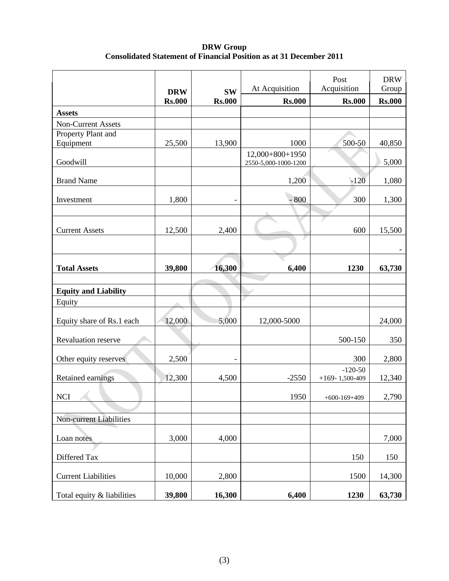**DRW Group Consolidated Statement of Financial Position as at 31 December 2011**

|                             |                             |                            |                                           | Post                              | <b>DRW</b>             |
|-----------------------------|-----------------------------|----------------------------|-------------------------------------------|-----------------------------------|------------------------|
|                             | <b>DRW</b><br><b>Rs.000</b> | <b>SW</b><br><b>Rs.000</b> | At Acquisition<br><b>Rs.000</b>           | Acquisition<br><b>Rs.000</b>      | Group<br><b>Rs.000</b> |
| <b>Assets</b>               |                             |                            |                                           |                                   |                        |
| <b>Non-Current Assets</b>   |                             |                            |                                           |                                   |                        |
| Property Plant and          |                             |                            |                                           |                                   |                        |
| Equipment                   | 25,500                      | 13,900                     | 1000                                      | 500-50                            | 40,850                 |
| Goodwill                    |                             |                            | $12,000+800+1950$<br>2550-5,000-1000-1200 |                                   | 5,000                  |
|                             |                             |                            |                                           |                                   |                        |
| <b>Brand Name</b>           |                             |                            | 1,200                                     | $-120$                            | 1,080                  |
| Investment                  | 1,800                       |                            | $-800$                                    | 300                               | 1,300                  |
|                             |                             |                            |                                           |                                   |                        |
| <b>Current Assets</b>       | 12,500                      | 2,400                      |                                           | 600                               | 15,500                 |
|                             |                             |                            |                                           |                                   |                        |
|                             |                             |                            |                                           |                                   |                        |
| <b>Total Assets</b>         | 39,800                      | 16,300                     | 6,400                                     | 1230                              | 63,730                 |
|                             |                             |                            |                                           |                                   |                        |
| <b>Equity and Liability</b> |                             |                            |                                           |                                   |                        |
| Equity                      |                             |                            |                                           |                                   |                        |
| Equity share of Rs.1 each   | 12,000                      | 5,000                      | 12,000-5000                               |                                   | 24,000                 |
| Revaluation reserve         |                             |                            |                                           | 500-150                           | 350                    |
| Other equity reserves       | 2,500                       |                            |                                           | 300                               | 2,800                  |
| Retained earnings           | 12,300                      | 4,500                      | $-2550$                                   | $-120-50$<br>$+169 - 1,500 - 409$ | 12,340                 |
| <b>NCI</b>                  |                             |                            | 1950                                      | $+600-169+409$                    | 2,790                  |
|                             |                             |                            |                                           |                                   |                        |
| Non-current Liabilities     |                             |                            |                                           |                                   |                        |
| Loan notes                  | 3,000                       | 4,000                      |                                           |                                   | 7,000                  |
| Differed Tax                |                             |                            |                                           | 150                               | 150                    |
| <b>Current Liabilities</b>  | 10,000                      | 2,800                      |                                           | 1500                              | 14,300                 |
| Total equity & liabilities  | 39,800                      | 16,300                     | 6,400                                     | 1230                              | 63,730                 |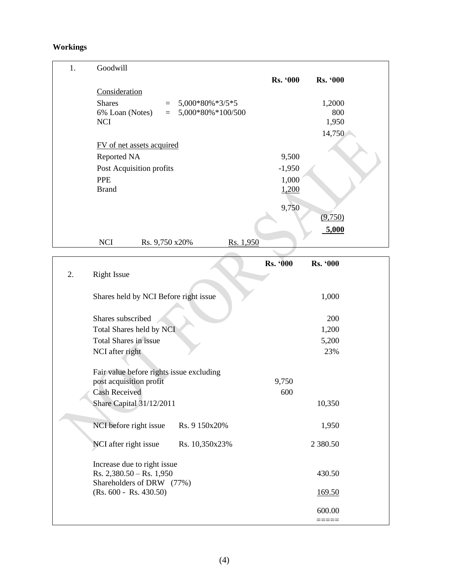# **Workings**

| 1. | Goodwill                                    |                                    |
|----|---------------------------------------------|------------------------------------|
|    |                                             | <b>Rs. '000</b><br><b>Rs. '000</b> |
|    | Consideration                               |                                    |
|    | <b>Shares</b><br>5,000*80%*3/5*5<br>$=$     | 1,2000                             |
|    | 5,000*80%*100/500<br>6% Loan (Notes)<br>$=$ | 800                                |
|    | <b>NCI</b>                                  | 1,950                              |
|    |                                             | 14,750                             |
|    | FV of net assets acquired                   |                                    |
|    | Reported NA                                 | 9,500                              |
|    | Post Acquisition profits                    | $-1,950$                           |
|    | <b>PPE</b>                                  | 1,000                              |
|    | <b>Brand</b>                                | 1,200                              |
|    |                                             | 9,750                              |
|    |                                             | (9,750)                            |
|    |                                             | 5,000                              |
|    | <b>NCI</b><br>Rs. 1,950<br>Rs. 9,750 x20%   |                                    |
|    |                                             |                                    |

 $\overline{\mathbf{u}}$ 

|    |                                                                                          |                | <b>Rs.</b> '000 | Rs. '000      |  |
|----|------------------------------------------------------------------------------------------|----------------|-----------------|---------------|--|
| 2. | <b>Right Issue</b>                                                                       |                |                 |               |  |
|    | Shares held by NCI Before right issue                                                    |                |                 | 1,000         |  |
|    | Shares subscribed                                                                        |                |                 | 200           |  |
|    | Total Shares held by NCI                                                                 |                |                 | 1,200         |  |
|    | <b>Total Shares in issue</b>                                                             |                |                 | 5,200         |  |
|    | NCI after right                                                                          |                |                 | 23%           |  |
|    | Fair value before rights issue excluding<br>post acquisition profit                      |                | 9,750           |               |  |
|    | <b>Cash Received</b>                                                                     |                | 600             |               |  |
|    | Share Capital 31/12/2011                                                                 |                |                 | 10,350        |  |
|    | NCI before right issue                                                                   | Rs. 9 150x20%  |                 | 1,950         |  |
|    | NCI after right issue                                                                    | Rs. 10,350x23% |                 | 2 3 8 0 . 5 0 |  |
|    | Increase due to right issue<br>Rs. $2,380.50 -$ Rs. $1,950$<br>Shareholders of DRW (77%) |                |                 | 430.50        |  |
|    | $(Rs. 600 - Rs. 430.50)$                                                                 |                |                 | <u>169.50</u> |  |
|    |                                                                                          |                |                 | 600.00        |  |
|    |                                                                                          |                |                 | =====         |  |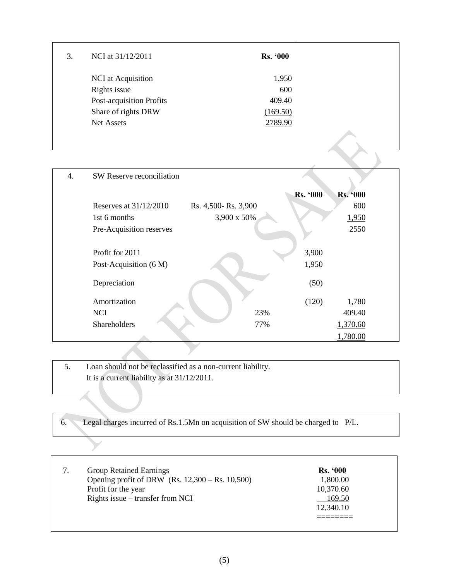| 3. | NCI at 31/12/2011        | <b>Rs. '000</b> |  |
|----|--------------------------|-----------------|--|
|    | NCI at Acquisition       | 1,950           |  |
|    | Rights issue             | 600             |  |
|    | Post-acquisition Profits | 409.40          |  |
|    | Share of rights DRW      | (169.50)        |  |
|    | Net Assets               | 2789.90         |  |
|    |                          |                 |  |

| 4. | SW Reserve reconciliation |                     |                 |                 |  |
|----|---------------------------|---------------------|-----------------|-----------------|--|
|    |                           |                     | <b>Rs. '000</b> | <b>Rs. '000</b> |  |
|    | Reserves at $31/12/2010$  | Rs. 4,500-Rs. 3,900 |                 | 600             |  |
|    | 1st 6 months              | 3,900 x 50%         |                 | 1,950           |  |
|    | Pre-Acquisition reserves  |                     |                 | 2550            |  |
|    |                           |                     |                 |                 |  |
|    | Profit for 2011           |                     | 3,900           |                 |  |
|    | Post-Acquisition (6 M)    |                     | 1,950           |                 |  |
|    |                           |                     |                 |                 |  |
|    | Depreciation              |                     | (50)            |                 |  |
|    | Amortization              |                     | (120)           | 1,780           |  |
|    | <b>NCI</b>                | 23%                 |                 | 409.40          |  |
|    | Shareholders              | 77%                 |                 | 1,370.60        |  |
|    |                           |                     |                 | 1,780.00        |  |

| Loan should not be reclassified as a non-current liability. |
|-------------------------------------------------------------|
| It is a current liability as at 31/12/2011.                 |
|                                                             |

| 6. Legal charges incurred of Rs.1.5Mn on acquisition of SW should be charged to P/L. |  |  |  |
|--------------------------------------------------------------------------------------|--|--|--|
|                                                                                      |  |  |  |

 $\sum$ 

| <b>Group Retained Earnings</b><br>Opening profit of DRW $(Rs. 12,300 - Rs. 10,500)$<br>Profit for the year | <b>Rs. '000</b><br>1,800.00<br>10,370.60 |  |
|------------------------------------------------------------------------------------------------------------|------------------------------------------|--|
| Rights issue $-$ transfer from NCI                                                                         | 169.50<br>12,340.10                      |  |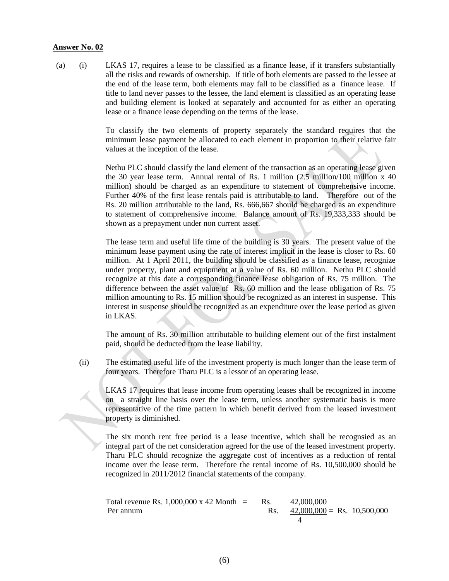(a) (i) LKAS 17, requires a lease to be classified as a finance lease, if it transfers substantially all the risks and rewards of ownership. If title of both elements are passed to the lessee at the end of the lease term, both elements may fall to be classified as a finance lease. If title to land never passes to the lessee, the land element is classified as an operating lease and building element is looked at separately and accounted for as either an operating lease or a finance lease depending on the terms of the lease.

> To classify the two elements of property separately the standard requires that the minimum lease payment be allocated to each element in proportion to their relative fair values at the inception of the lease.

> Nethu PLC should classify the land element of the transaction as an operating lease given the 30 year lease term. Annual rental of Rs. 1 million (2.5 million/100 million x 40 million) should be charged as an expenditure to statement of comprehensive income. Further 40% of the first lease rentals paid is attributable to land. Therefore out of the Rs. 20 million attributable to the land, Rs. 666,667 should be charged as an expenditure to statement of comprehensive income. Balance amount of Rs. 19,333,333 should be shown as a prepayment under non current asset.

> The lease term and useful life time of the building is 30 years. The present value of the minimum lease payment using the rate of interest implicit in the lease is closer to Rs. 60 million. At 1 April 2011, the building should be classified as a finance lease, recognize under property, plant and equipment at a value of Rs. 60 million. Nethu PLC should recognize at this date a corresponding finance lease obligation of Rs. 75 million. The difference between the asset value of Rs. 60 million and the lease obligation of Rs. 75 million amounting to Rs. 15 million should be recognized as an interest in suspense. This interest in suspense should be recognized as an expenditure over the lease period as given in LKAS.

> The amount of Rs. 30 million attributable to building element out of the first instalment paid, should be deducted from the lease liability.

(ii) The estimated useful life of the investment property is much longer than the lease term of four years. Therefore Tharu PLC is a lessor of an operating lease.

LKAS 17 requires that lease income from operating leases shall be recognized in income on a straight line basis over the lease term, unless another systematic basis is more representative of the time pattern in which benefit derived from the leased investment property is diminished.

The six month rent free period is a lease incentive, which shall be recognsied as an integral part of the net consideration agreed for the use of the leased investment property. Tharu PLC should recognize the aggregate cost of incentives as a reduction of rental income over the lease term. Therefore the rental income of Rs. 10,500,000 should be recognized in 2011/2012 financial statements of the company.

Total revenue Rs. 1,000,000 x 42 Month = Rs. 
$$
42,000,000
$$
  
Per annum Rs.  $\frac{42,000,000}{4}$  = Rs. 10,500,000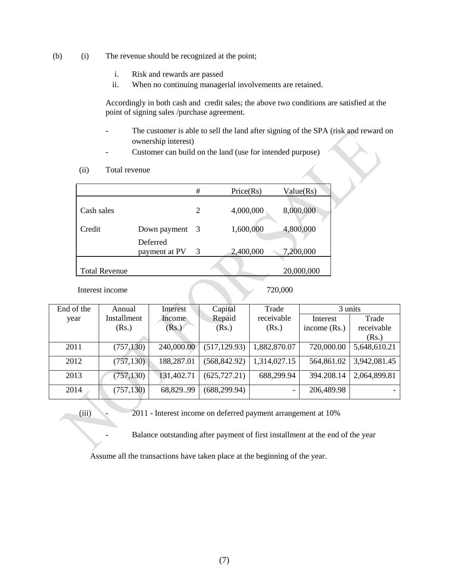- (b) (i) The revenue should be recognized at the point;
	- i. Risk and rewards are passed
	- ii. When no continuing managerial involvements are retained.

Accordingly in both cash and credit sales; the above two conditions are satisfied at the point of signing sales /purchase agreement.

- The customer is able to sell the land after signing of the SPA (risk and reward on ownership interest)
- Customer can build on the land (use for intended purpose)
- (ii) Total revenue

|                      |                           | #              | Price(Rs) | Value(Rs)  |
|----------------------|---------------------------|----------------|-----------|------------|
|                      |                           |                |           |            |
| Cash sales           |                           | $\overline{2}$ | 4,000,000 | 8,000,000  |
| Credit               | Down payment              | - 3            | 1,600,000 | 4,800,000  |
|                      | Deferred<br>payment at PV | 3              | 2,400,000 | 7,200,000  |
|                      |                           |                |           |            |
| <b>Total Revenue</b> |                           |                |           | 20,000,000 |

Interest income 720,000

| End of the | Annual      | Interest   | Capital       | Trade                    |                | 3 units      |
|------------|-------------|------------|---------------|--------------------------|----------------|--------------|
| year       | Installment | Income     | Repaid        | receivable               | Interest       | Trade        |
|            | (Rs.)       | (Rs.)      | (Rs.)         | (Rs.)                    | income $(Rs.)$ | receivable   |
|            |             |            |               |                          |                | (Rs.)        |
| 2011       | (757, 130)  | 240,000.00 | (517, 129.93) | 1,882,870.07             | 720,000.00     | 5,648,610.21 |
| 2012       | (757, 130)  | 188,287.01 | (568, 842.92) | 1,314,027.15             | 564,861.02     | 3,942,081.45 |
| 2013       | (757, 130)  | 131,402.71 | (625, 727.21) | 688,299.94               | 394.208.14     | 2,064,899.81 |
| 2014       | (757, 130)  | 68,82999   | (688, 299.94) | $\overline{\phantom{0}}$ | 206,489.98     |              |

(iii) - 2011 - Interest income on deferred payment arrangement at 10%

Balance outstanding after payment of first installment at the end of the year

Assume all the transactions have taken place at the beginning of the year.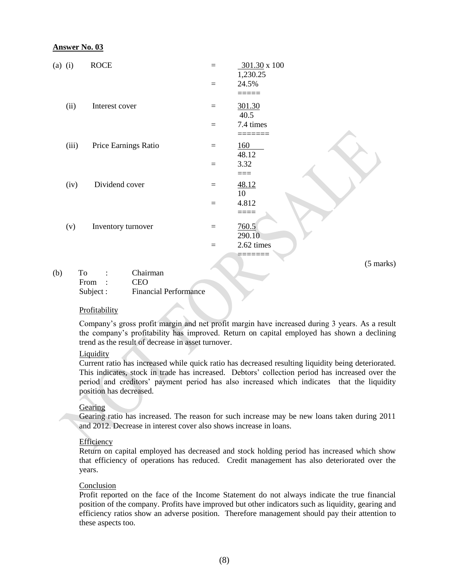| $(a)$ (i) |       | <b>ROCE</b>          | $=$ | 301.30 x 100      |
|-----------|-------|----------------------|-----|-------------------|
|           |       |                      | $=$ | 1,230.25<br>24.5% |
|           |       |                      |     |                   |
|           | (ii)  | Interest cover       | $=$ | 301.30            |
|           |       |                      |     | 40.5              |
|           |       |                      | $=$ | 7.4 times         |
|           |       |                      |     |                   |
|           | (iii) | Price Earnings Ratio | $=$ | <u>160</u>        |
|           |       |                      |     | 48.12             |
|           |       |                      | $=$ | 3.32              |
|           |       |                      |     | ===               |
|           | (iv)  | Dividend cover       | $=$ | 48.12             |
|           |       |                      |     | 10                |
|           |       |                      | $=$ | 4.812             |
|           |       |                      |     | ====              |
|           | (v)   | Inventory turnover   | $=$ | 760.5             |
|           |       |                      |     | 290.10            |
|           |       |                      |     |                   |
|           |       |                      | $=$ | 2.62 times        |
|           |       |                      |     |                   |

(5 marks)

| (b) | T`o       |  | Chairman                     |
|-----|-----------|--|------------------------------|
|     | From      |  | CEO                          |
|     | Subject : |  | <b>Financial Performance</b> |

#### **Profitability**

Company's gross profit margin and net profit margin have increased during 3 years. As a result the company's profitability has improved. Return on capital employed has shown a declining trend as the result of decrease in asset turnover.

#### Liquidity

Current ratio has increased while quick ratio has decreased resulting liquidity being deteriorated. This indicates, stock in trade has increased. Debtors' collection period has increased over the period and creditors' payment period has also increased which indicates that the liquidity position has decreased.

#### **Gearing**

Gearing ratio has increased. The reason for such increase may be new loans taken during 2011 and 2012. Decrease in interest cover also shows increase in loans.

#### Efficiency

Return on capital employed has decreased and stock holding period has increased which show that efficiency of operations has reduced. Credit management has also deteriorated over the years.

#### Conclusion

Profit reported on the face of the Income Statement do not always indicate the true financial position of the company. Profits have improved but other indicators such as liquidity, gearing and efficiency ratios show an adverse position. Therefore management should pay their attention to these aspects too.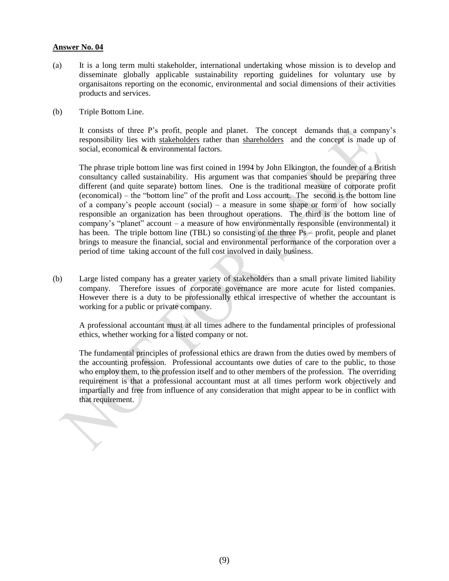- (a) It is a long term multi stakeholder, international undertaking whose mission is to develop and disseminate globally applicable sustainability reporting guidelines for voluntary use by organisaitons reporting on the economic, environmental and social dimensions of their activities products and services.
- (b) Triple Bottom Line.

It consists of three P's profit, people and planet. The concept demands that a company's responsibility lies with stakeholders rather than shareholders and the concept is made up of social, economical & environmental factors.

The phrase triple bottom line was first coined in 1994 by John Elkington, the founder of a British consultancy called sustainability. His argument was that companies should be preparing three different (and quite separate) bottom lines. One is the traditional measure of corporate profit (economical) – the "bottom line" of the profit and Loss account. The second is the bottom line of a company's people account (social) – a measure in some shape or form of how socially responsible an organization has been throughout operations. The third is the bottom line of company's "planet" account – a measure of how environmentally responsible (environmental) it has been. The triple bottom line (TBL) so consisting of the three Ps – profit, people and planet brings to measure the financial, social and environmental performance of the corporation over a period of time taking account of the full cost involved in daily business.

(b) Large listed company has a greater variety of stakeholders than a small private limited liability company. Therefore issues of corporate governance are more acute for listed companies. However there is a duty to be professionally ethical irrespective of whether the accountant is working for a public or private company.

A professional accountant must at all times adhere to the fundamental principles of professional ethics, whether working for a listed company or not.

The fundamental principles of professional ethics are drawn from the duties owed by members of the accounting profession. Professional accountants owe duties of care to the public, to those who employ them, to the profession itself and to other members of the profession. The overriding requirement is that a professional accountant must at all times perform work objectively and impartially and free from influence of any consideration that might appear to be in conflict with that requirement.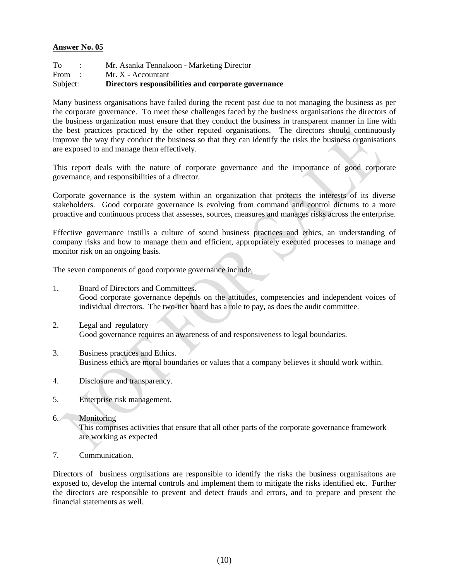| Subject: | Directors responsibilities and corporate governance |
|----------|-----------------------------------------------------|
| From :   | $Mr. X - Accountant$                                |
| To       | Mr. Asanka Tennakoon - Marketing Director           |

Many business organisations have failed during the recent past due to not managing the business as per the corporate governance. To meet these challenges faced by the business organisations the directors of the business organization must ensure that they conduct the business in transparent manner in line with the best practices practiced by the other reputed organisations. The directors should continuously improve the way they conduct the business so that they can identify the risks the business organisations are exposed to and manage them effectively.

This report deals with the nature of corporate governance and the importance of good corporate governance, and responsibilities of a director.

Corporate governance is the system within an organization that protects the interests of its diverse stakeholders. Good corporate governance is evolving from command and control dictums to a more proactive and continuous process that assesses, sources, measures and manages risks across the enterprise.

Effective governance instills a culture of sound business practices and ethics, an understanding of company risks and how to manage them and efficient, appropriately executed processes to manage and monitor risk on an ongoing basis.

The seven components of good corporate governance include,

- 1. Board of Directors and Committees. Good corporate governance depends on the attitudes, competencies and independent voices of individual directors. The two-tier board has a role to pay, as does the audit committee.
- 2. Legal and regulatory Good governance requires an awareness of and responsiveness to legal boundaries.
- 3. Business practices and Ethics. Business ethics are moral boundaries or values that a company believes it should work within.
- 4. Disclosure and transparency.
- 5. Enterprise risk management.

## 6. Monitoring

This comprises activities that ensure that all other parts of the corporate governance framework are working as expected

7. Communication.

Directors of business orgnisations are responsible to identify the risks the business organisaitons are exposed to, develop the internal controls and implement them to mitigate the risks identified etc. Further the directors are responsible to prevent and detect frauds and errors, and to prepare and present the financial statements as well.